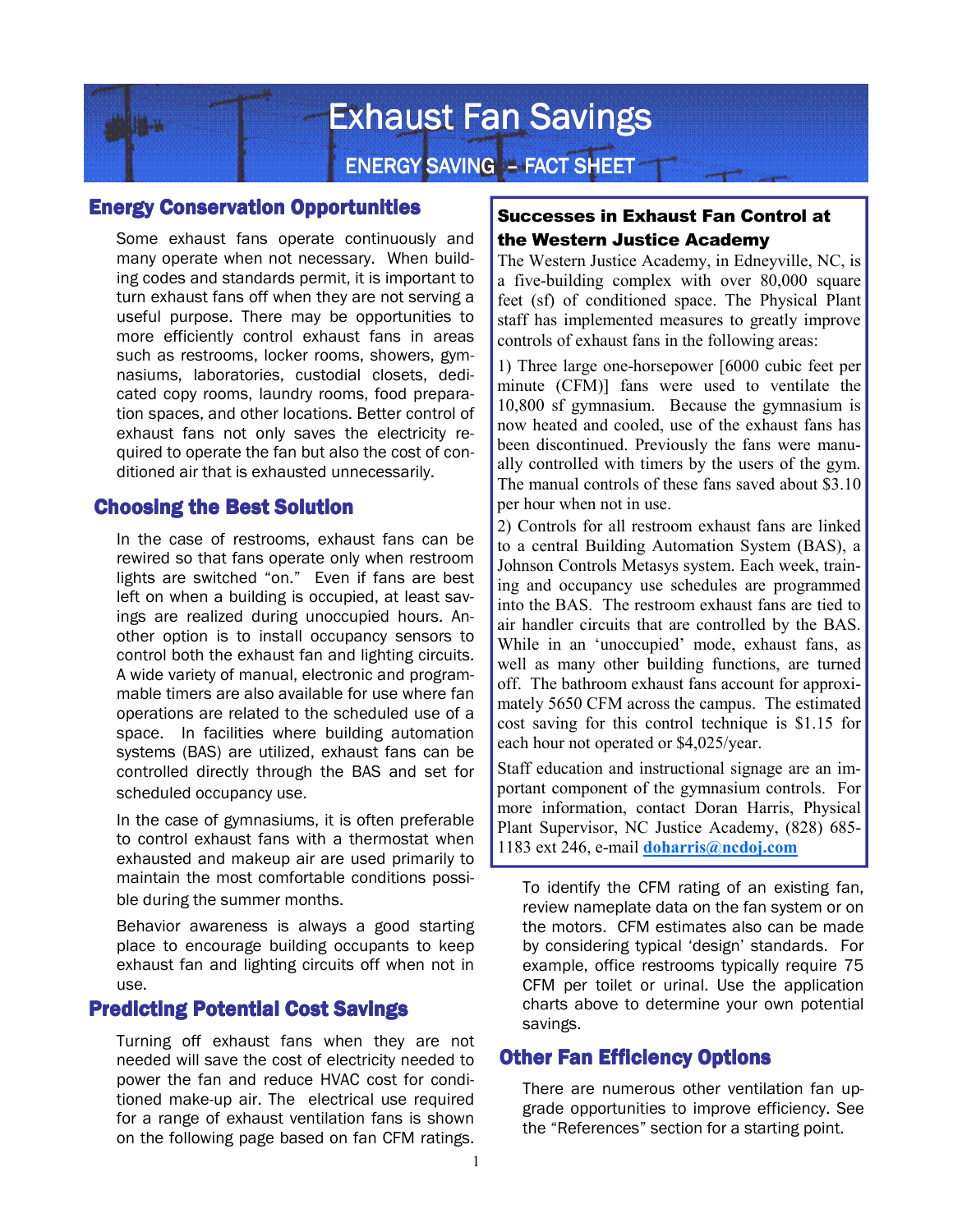

### Energy Conservation Opportunities

Some exhaust fans operate continuously and many operate when not necessary. When building codes and standards permit, it is important to turn exhaust fans off when they are not serving a useful purpose. There may be opportunities to more efficiently control exhaust fans in areas such as restrooms, locker rooms, showers, gymnasiums, laboratories, custodial closets, dedicated copy rooms, laundry rooms, food preparation spaces, and other locations. Better control of exhaust fans not only saves the electricity required to operate the fan but also the cost of conditioned air that is exhausted unnecessarily.

### Choosing the Best Solution

In the case of restrooms, exhaust fans can be rewired so that fans operate only when restroom lights are switched "on." Even if fans are best left on when a building is occupied, at least savings are realized during unoccupied hours. Another option is to install occupancy sensors to control both the exhaust fan and lighting circuits. A wide variety of manual, electronic and programmable timers are also available for use where fan operations are related to the scheduled use of a space. In facilities where building automation systems (BAS) are utilized, exhaust fans can be controlled directly through the BAS and set for scheduled occupancy use.

In the case of gymnasiums, it is often preferable to control exhaust fans with a thermostat when exhausted and makeup air are used primarily to maintain the most comfortable conditions possible during the summer months.

Behavior awareness is always a good starting place to encourage building occupants to keep exhaust fan and lighting circuits off when not in use.

## Predicting Potential Cost Savings

Turning off exhaust fans when they are not needed will save the cost of electricity needed to power the fan and reduce HVAC cost for conditioned make-up air. The electrical use required for a range of exhaust ventilation fans is shown on the following page based on fan CFM ratings.

## Successes in Exhaust Fan Control at the Western Justice Academy

The Western Justice Academy, in Edneyville, NC, is a five-building complex with over 80,000 square feet (sf) of conditioned space. The Physical Plant staff has implemented measures to greatly improve controls of exhaust fans in the following areas:

1) Three large one-horsepower [6000 cubic feet per minute (CFM)] fans were used to ventilate the 10,800 sf gymnasium. Because the gymnasium is now heated and cooled, use of the exhaust fans has been discontinued. Previously the fans were manually controlled with timers by the users of the gym. The manual controls of these fans saved about \$3.10 per hour when not in use.

2) Controls for all restroom exhaust fans are linked to a central Building Automation System (BAS), a Johnson Controls Metasys system. Each week, training and occupancy use schedules are programmed into the BAS. The restroom exhaust fans are tied to air handler circuits that are controlled by the BAS. While in an 'unoccupied' mode, exhaust fans, as well as many other building functions, are turned off. The bathroom exhaust fans account for approximately 5650 CFM across the campus. The estimated cost saving for this control technique is \$1.15 for each hour not operated or \$4,025/year.

Staff education and instructional signage are an important component of the gymnasium controls. For more information, contact Doran Harris, Physical Plant Supervisor, NC Justice Academy, (828) 685- 1183 ext 246, e-mail **doharris@ncdoj.com**

To identify the CFM rating of an existing fan, review nameplate data on the fan system or on the motors. CFM estimates also can be made by considering typical 'design' standards. For example, office restrooms typically require 75 CFM per toilet or urinal. Use the application charts above to determine your own potential savings.

### **Other Fan Efficiency Options**

 There are numerous other ventilation fan upgrade opportunities to improve efficiency. See the "References" section for a starting point.